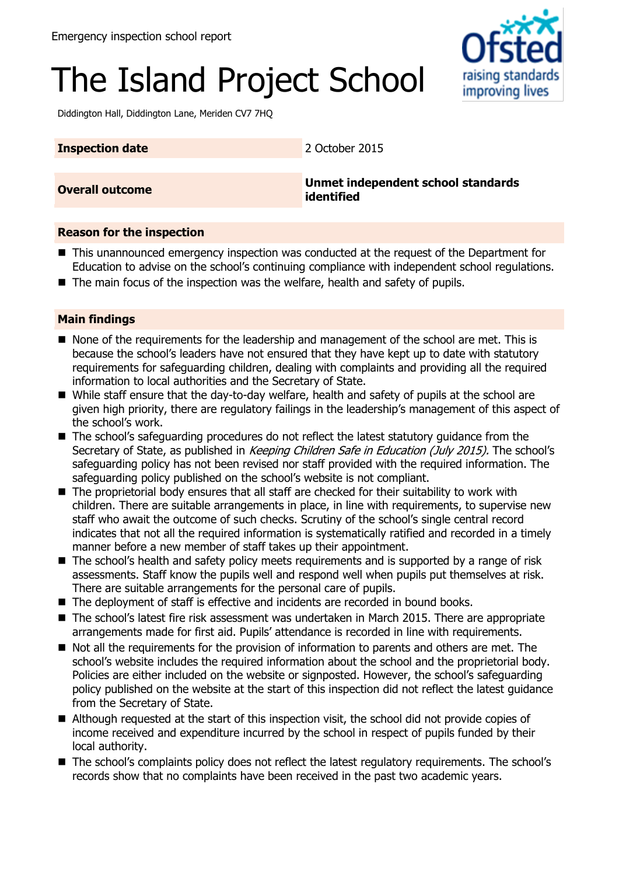# The Island Project School

Diddington Hall, Diddington Lane, Meriden CV7 7HQ

#### **Inspection date** 2 October 2015

**Overall outcome Unmet independent school standards identified**

#### **Reason for the inspection**

- This unannounced emergency inspection was conducted at the request of the Department for Education to advise on the school's continuing compliance with independent school regulations.
- The main focus of the inspection was the welfare, health and safety of pupils.

#### **Main findings**

- None of the requirements for the leadership and management of the school are met. This is because the school's leaders have not ensured that they have kept up to date with statutory requirements for safeguarding children, dealing with complaints and providing all the required information to local authorities and the Secretary of State.
- While staff ensure that the day-to-day welfare, health and safety of pupils at the school are given high priority, there are regulatory failings in the leadership's management of this aspect of the school's work.
- The school's safeguarding procedures do not reflect the latest statutory guidance from the Secretary of State, as published in *Keeping Children Safe in Education (July 2015)*. The school's safeguarding policy has not been revised nor staff provided with the required information. The safeguarding policy published on the school's website is not compliant.
- $\blacksquare$  The proprietorial body ensures that all staff are checked for their suitability to work with children. There are suitable arrangements in place, in line with requirements, to supervise new staff who await the outcome of such checks. Scrutiny of the school's single central record indicates that not all the required information is systematically ratified and recorded in a timely manner before a new member of staff takes up their appointment.
- The school's health and safety policy meets requirements and is supported by a range of risk assessments. Staff know the pupils well and respond well when pupils put themselves at risk. There are suitable arrangements for the personal care of pupils.
- The deployment of staff is effective and incidents are recorded in bound books.
- The school's latest fire risk assessment was undertaken in March 2015. There are appropriate arrangements made for first aid. Pupils' attendance is recorded in line with requirements.
- $\blacksquare$  Not all the requirements for the provision of information to parents and others are met. The school's website includes the required information about the school and the proprietorial body. Policies are either included on the website or signposted. However, the school's safeguarding policy published on the website at the start of this inspection did not reflect the latest guidance from the Secretary of State.
- Although requested at the start of this inspection visit, the school did not provide copies of income received and expenditure incurred by the school in respect of pupils funded by their local authority.
- The school's complaints policy does not reflect the latest regulatory requirements. The school's records show that no complaints have been received in the past two academic years.

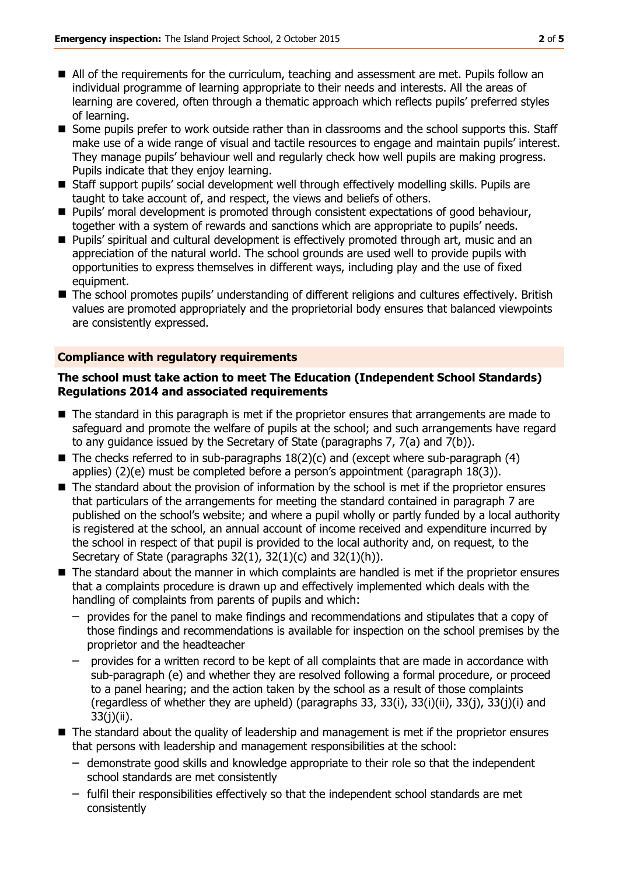- All of the requirements for the curriculum, teaching and assessment are met. Pupils follow an individual programme of learning appropriate to their needs and interests. All the areas of learning are covered, often through a thematic approach which reflects pupils' preferred styles of learning.
- Some pupils prefer to work outside rather than in classrooms and the school supports this. Staff make use of a wide range of visual and tactile resources to engage and maintain pupils' interest. They manage pupils' behaviour well and regularly check how well pupils are making progress. Pupils indicate that they enjoy learning.
- Staff support pupils' social development well through effectively modelling skills. Pupils are taught to take account of, and respect, the views and beliefs of others.
- **Pupils'** moral development is promoted through consistent expectations of good behaviour, together with a system of rewards and sanctions which are appropriate to pupils' needs.
- **Pupils' spiritual and cultural development is effectively promoted through art, music and an** appreciation of the natural world. The school grounds are used well to provide pupils with opportunities to express themselves in different ways, including play and the use of fixed equipment.
- The school promotes pupils' understanding of different religions and cultures effectively. British values are promoted appropriately and the proprietorial body ensures that balanced viewpoints are consistently expressed.

#### **Compliance with regulatory requirements**

#### **The school must take action to meet The Education (Independent School Standards) Regulations 2014 and associated requirements**

- $\blacksquare$  The standard in this paragraph is met if the proprietor ensures that arrangements are made to safeguard and promote the welfare of pupils at the school; and such arrangements have regard to any guidance issued by the Secretary of State (paragraphs 7, 7(a) and 7(b)).
- $\blacksquare$  The checks referred to in sub-paragraphs 18(2)(c) and (except where sub-paragraph (4) applies) (2)(e) must be completed before a person's appointment (paragraph 18(3)).
- The standard about the provision of information by the school is met if the proprietor ensures that particulars of the arrangements for meeting the standard contained in paragraph 7 are published on the school's website; and where a pupil wholly or partly funded by a local authority is registered at the school, an annual account of income received and expenditure incurred by the school in respect of that pupil is provided to the local authority and, on request, to the Secretary of State (paragraphs 32(1), 32(1)(c) and 32(1)(h)).
- The standard about the manner in which complaints are handled is met if the proprietor ensures that a complaints procedure is drawn up and effectively implemented which deals with the handling of complaints from parents of pupils and which:
	- provides for the panel to make findings and recommendations and stipulates that a copy of those findings and recommendations is available for inspection on the school premises by the proprietor and the headteacher
	- provides for a written record to be kept of all complaints that are made in accordance with sub-paragraph (e) and whether they are resolved following a formal procedure, or proceed to a panel hearing; and the action taken by the school as a result of those complaints (regardless of whether they are upheld) (paragraphs 33, 33(i), 33(i)(ii), 33(j), 33(j)(i) and 33(j)(ii).
- The standard about the quality of leadership and management is met if the proprietor ensures that persons with leadership and management responsibilities at the school:
	- demonstrate good skills and knowledge appropriate to their role so that the independent school standards are met consistently
	- fulfil their responsibilities effectively so that the independent school standards are met consistently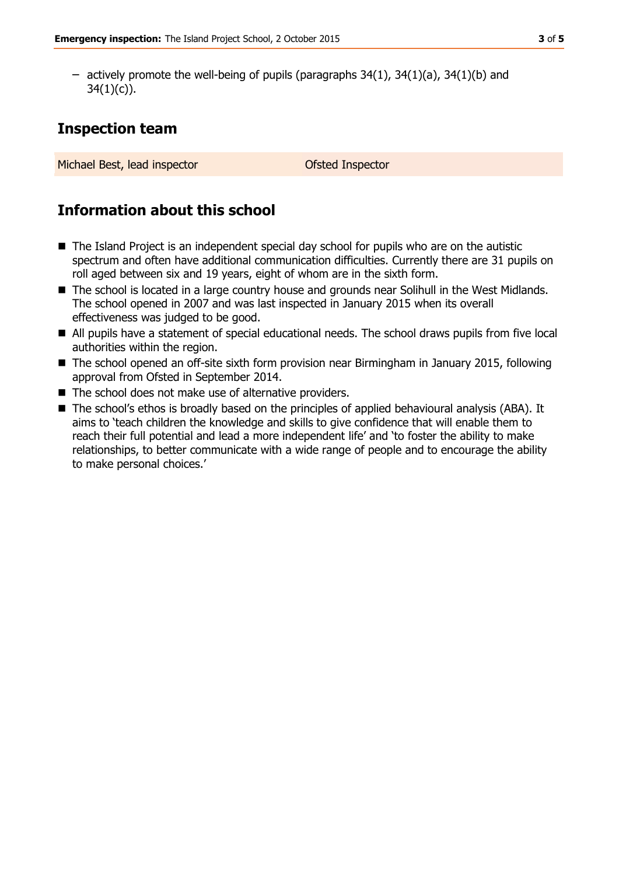$-$  actively promote the well-being of pupils (paragraphs  $34(1)$ ,  $34(1)(a)$ ,  $34(1)(b)$  and  $34(1)(c)$ ).

## **Inspection team**

Michael Best, lead inspector **Ofsted Inspector** 

# **Information about this school**

- The Island Project is an independent special day school for pupils who are on the autistic spectrum and often have additional communication difficulties. Currently there are 31 pupils on roll aged between six and 19 years, eight of whom are in the sixth form.
- The school is located in a large country house and grounds near Solihull in the West Midlands. The school opened in 2007 and was last inspected in January 2015 when its overall effectiveness was judged to be good.
- All pupils have a statement of special educational needs. The school draws pupils from five local authorities within the region.
- The school opened an off-site sixth form provision near Birmingham in January 2015, following approval from Ofsted in September 2014.
- The school does not make use of alternative providers.
- The school's ethos is broadly based on the principles of applied behavioural analysis (ABA). It aims to 'teach children the knowledge and skills to give confidence that will enable them to reach their full potential and lead a more independent life' and 'to foster the ability to make relationships, to better communicate with a wide range of people and to encourage the ability to make personal choices.'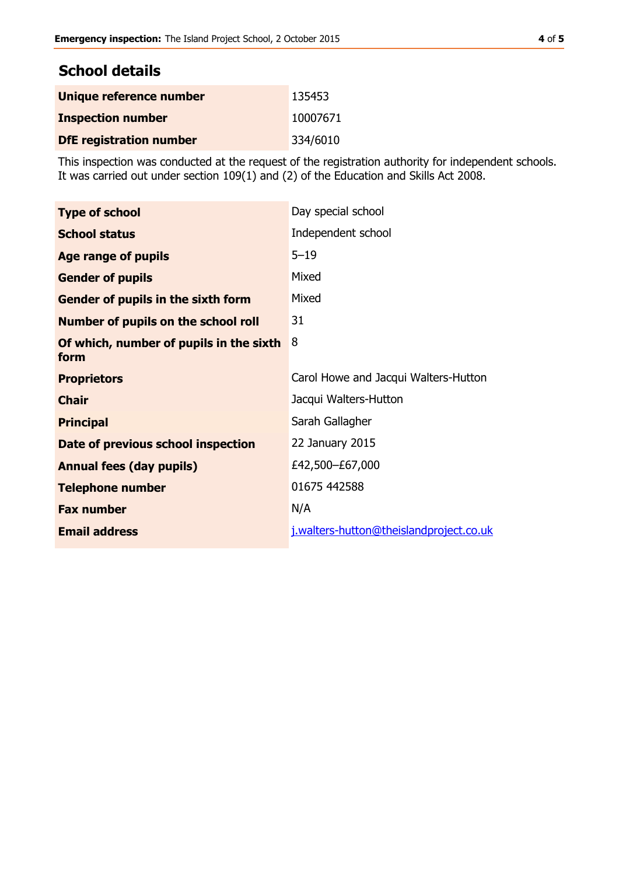## **School details**

| Unique reference number        | 135453   |
|--------------------------------|----------|
| <b>Inspection number</b>       | 10007671 |
| <b>DfE</b> registration number | 334/6010 |

This inspection was conducted at the request of the registration authority for independent schools. It was carried out under section 109(1) and (2) of the Education and Skills Act 2008.

| <b>Type of school</b>                           | Day special school                      |
|-------------------------------------------------|-----------------------------------------|
| <b>School status</b>                            | Independent school                      |
| <b>Age range of pupils</b>                      | $5 - 19$                                |
| <b>Gender of pupils</b>                         | Mixed                                   |
| Gender of pupils in the sixth form              | Mixed                                   |
| <b>Number of pupils on the school roll</b>      | 31                                      |
| Of which, number of pupils in the sixth<br>form | 8                                       |
| <b>Proprietors</b>                              | Carol Howe and Jacqui Walters-Hutton    |
| <b>Chair</b>                                    | Jacqui Walters-Hutton                   |
| <b>Principal</b>                                | Sarah Gallagher                         |
| Date of previous school inspection              | 22 January 2015                         |
| <b>Annual fees (day pupils)</b>                 | £42,500-£67,000                         |
| <b>Telephone number</b>                         | 01675 442588                            |
| <b>Fax number</b>                               | N/A                                     |
| <b>Email address</b>                            | j.walters-hutton@theislandproject.co.uk |